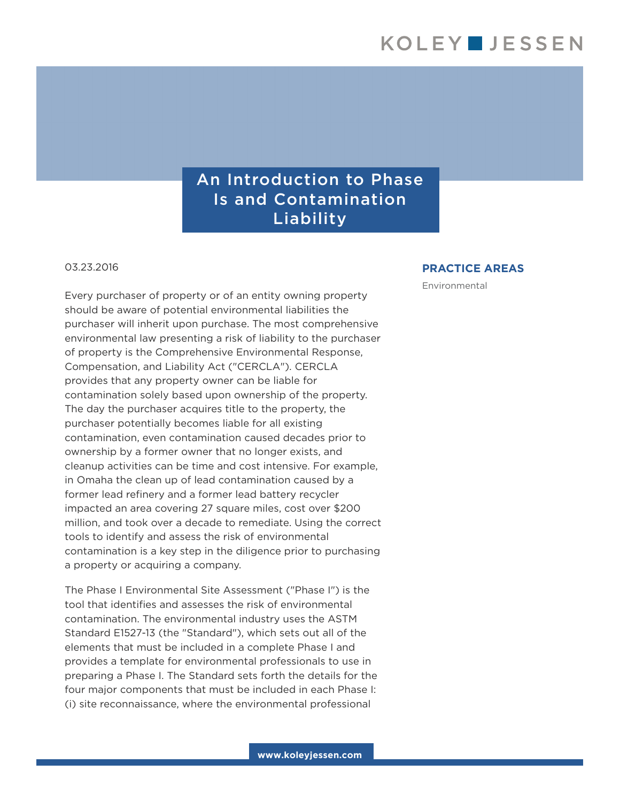## An Introduction to Phase Is and Contamination Liability

03.23.2016

Every purchaser of property or of an entity owning property should be aware of potential environmental liabilities the purchaser will inherit upon purchase. The most comprehensive environmental law presenting a risk of liability to the purchaser of property is the Comprehensive Environmental Response, Compensation, and Liability Act ("CERCLA"). CERCLA provides that any property owner can be liable for contamination solely based upon ownership of the property. The day the purchaser acquires title to the property, the purchaser potentially becomes liable for all existing contamination, even contamination caused decades prior to ownership by a former owner that no longer exists, and cleanup activities can be time and cost intensive. For example, in Omaha the clean up of lead contamination caused by a former lead refinery and a former lead battery recycler impacted an area covering 27 square miles, cost over \$200 million, and took over a decade to remediate. Using the correct tools to identify and assess the risk of environmental contamination is a key step in the diligence prior to purchasing a property or acquiring a company.

The Phase I Environmental Site Assessment ("Phase I") is the tool that identifies and assesses the risk of environmental contamination. The environmental industry uses the ASTM Standard E1527-13 (the "Standard"), which sets out all of the elements that must be included in a complete Phase I and provides a template for environmental professionals to use in preparing a Phase I. The Standard sets forth the details for the four major components that must be included in each Phase I: (i) site reconnaissance, where the environmental professional

## **PRACTICE AREAS**

Environmental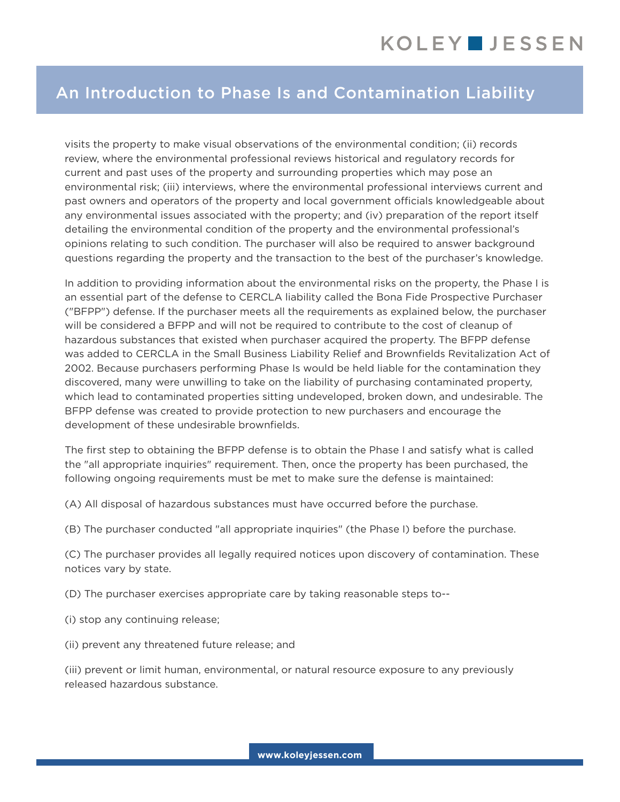## An Introduction to Phase Is and Contamination Liability

visits the property to make visual observations of the environmental condition; (ii) records review, where the environmental professional reviews historical and regulatory records for current and past uses of the property and surrounding properties which may pose an environmental risk; (iii) interviews, where the environmental professional interviews current and past owners and operators of the property and local government officials knowledgeable about any environmental issues associated with the property; and (iv) preparation of the report itself detailing the environmental condition of the property and the environmental professional's opinions relating to such condition. The purchaser will also be required to answer background questions regarding the property and the transaction to the best of the purchaser's knowledge.

In addition to providing information about the environmental risks on the property, the Phase I is an essential part of the defense to CERCLA liability called the Bona Fide Prospective Purchaser ("BFPP") defense. If the purchaser meets all the requirements as explained below, the purchaser will be considered a BFPP and will not be required to contribute to the cost of cleanup of hazardous substances that existed when purchaser acquired the property. The BFPP defense was added to CERCLA in the Small Business Liability Relief and Brownfields Revitalization Act of 2002. Because purchasers performing Phase Is would be held liable for the contamination they discovered, many were unwilling to take on the liability of purchasing contaminated property, which lead to contaminated properties sitting undeveloped, broken down, and undesirable. The BFPP defense was created to provide protection to new purchasers and encourage the development of these undesirable brownfields.

The first step to obtaining the BFPP defense is to obtain the Phase I and satisfy what is called the "all appropriate inquiries" requirement. Then, once the property has been purchased, the following ongoing requirements must be met to make sure the defense is maintained:

(A) All disposal of hazardous substances must have occurred before the purchase.

(B) The purchaser conducted "all appropriate inquiries" (the Phase I) before the purchase.

(C) The purchaser provides all legally required notices upon discovery of contamination. These notices vary by state.

(D) The purchaser exercises appropriate care by taking reasonable steps to--

- (i) stop any continuing release;
- (ii) prevent any threatened future release; and

(iii) prevent or limit human, environmental, or natural resource exposure to any previously released hazardous substance.